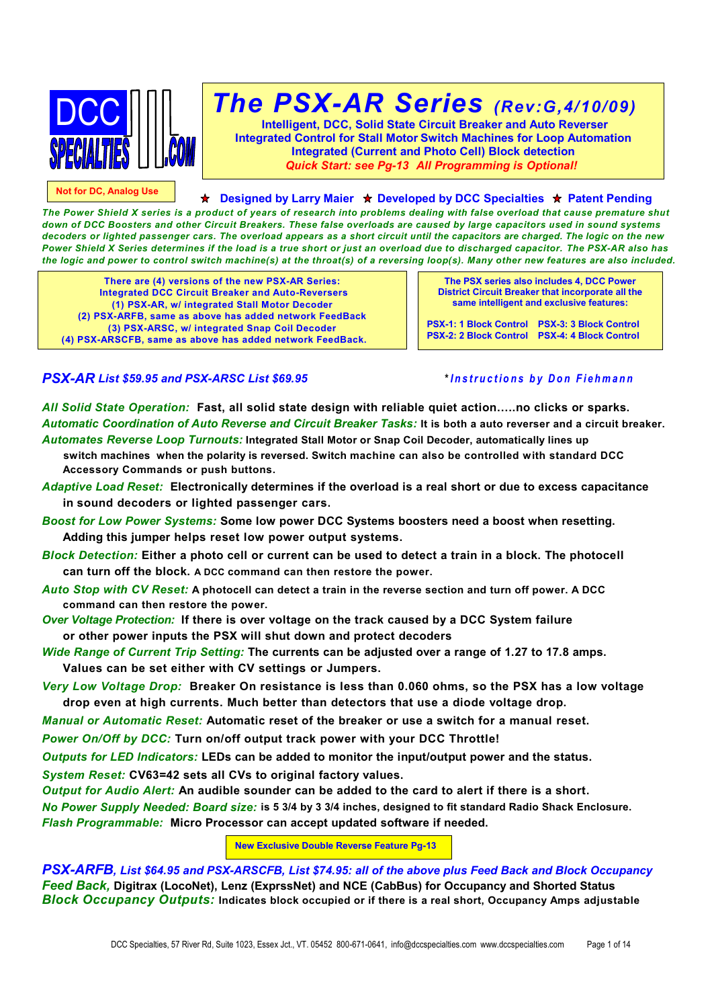

**Not for DC, Analog Use**

# *The PSX-AR Series (Rev:G,4/10/09)*

**Intelligent, DCC, Solid State Circuit Breaker and Auto Reverser Integrated Control for Stall Motor Switch Machines for Loop Automation Integrated (Current and Photo Cell) Block detection** *Quick Start: see Pg-13 All Programming is Optional!*

**★ Designed by Larry Maier ★ Developed by DCC Specialties ★ Patent Pending** 

*The Power Shield X series is a product of years of research into problems dealing with false overload that cause premature shut down of DCC Boosters and other Circuit Breakers. These false overloads are caused by large capacitors used in sound systems decoders or lighted passenger cars. The overload appears as a short circuit until the capacitors are charged. The logic on the new Power Shield X Series determines if the load is a true short or just an overload due to discharged capacitor. The PSX-AR also has the logic and power to control switch machine(s) at the throat(s) of a reversing loop(s). Many other new features are also included.*

**There are (4) versions of the new PSX-AR Series: Integrated DCC Circuit Breaker and Auto-Reversers (1) PSX-AR, w/ integrated Stall Motor Decoder (2) PSX-ARFB, same as above has added network FeedBack (3) PSX-ARSC, w/ integrated Snap Coil Decoder (4) PSX-ARSCFB, same as above has added network FeedBack.**

**The PSX series also includes 4, DCC Power District Circuit Breaker that incorporate all the same intelligent and exclusive features:**

**PSX-1: 1 Block Control PSX-3: 3 Block Control PSX-2: 2 Block Control PSX-4: 4 Block Control**

### *PSX-AR List \$59.95 and PSX-ARSC List \$69.95* **\****Instructions by Don Fiehmann*

*All Solid State Operation:* **Fast, all solid state design with reliable quiet action…..no clicks or sparks.** *Automatic Coordination of Auto Reverse and Circuit Breaker Tasks:* **It is both a auto reverser and a circuit breaker.** *Automates Reverse Loop Turnouts:* **Integrated Stall Motor or Snap Coil Decoder, automatically lines up**

- **switch machines when the polarity is reversed. Switch machine can also be controlled with standard DCC Accessory Commands or push buttons.**
- *Adaptive Load Reset:* **Electronically determines if the overload is a real short or due to excess capacitance in sound decoders or lighted passenger cars.**
- *Boost for Low Power Systems:* **Some low power DCC Systems boosters need a boost when resetting. Adding this jumper helps reset low power output systems.**
- *Block Detection:* **Either a photo cell or current can be used to detect a train in a block. The photocell can turn off the block. A DCC command can then restore the power.**
- *Auto Stop with CV Reset:* **A photocell can detect a train in the reverse section and turn off power. A DCC command can then restore the power.**
- *Over Voltage Protection:* **If there is over voltage on the track caused by a DCC System failure or other power inputs the PSX will shut down and protect decoders**
- *Wide Range of Current Trip Setting:* **The currents can be adjusted over a range of 1.27 to 17.8 amps. Values can be set either with CV settings or Jumpers.**
- *Very Low Voltage Drop:* **Breaker On resistance is less than 0.060 ohms, so the PSX has a low voltage drop even at high currents. Much better than detectors that use a diode voltage drop.**
- *Manual or Automatic Reset:* **Automatic reset of the breaker or use a switch for a manual reset.**
- *Power On/Off by DCC:* **Turn on/off output track power with your DCC Throttle!**

*Outputs for LED Indicators:* **LEDs can be added to monitor the input/output power and the status.**

*System Reset:* **CV63=42 sets all CVs to original factory values.**

*Output for Audio Alert:* **An audible sounder can be added to the card to alert if there is a short.**

*No Power Supply Needed: Board size:* **is 5 3/4 by 3 3/4 inches, designed to fit standard Radio Shack Enclosure.** *Flash Programmable:* **Micro Processor can accept updated software if needed.**

#### **New Exclusive Double Reverse Feature Pg-13**

*PSX-ARFB, List \$64.95 and PSX-ARSCFB, List \$74.95: all of the above plus Feed Back and Block Occupancy Feed Back,* **Digitrax (LocoNet), Lenz (ExprssNet) and NCE (CabBus) for Occupancy and Shorted Status** *Block Occupancy Outputs:* **Indicates block occupied or if there is a real short, Occupancy Amps adjustable**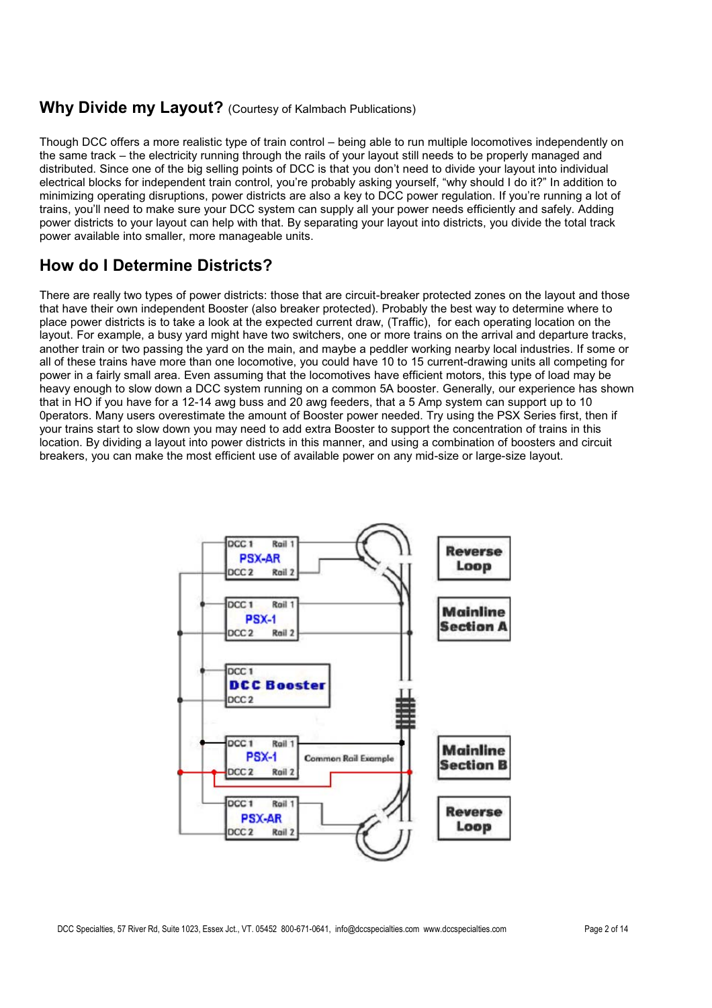### **Why Divide my Layout?** (Courtesy of Kalmbach Publications)

Though DCC offers a more realistic type of train control – being able to run multiple locomotives independently on the same track – the electricity running through the rails of your layout still needs to be properly managed and distributed. Since one of the big selling points of DCC is that you don't need to divide your layout into individual electrical blocks for independent train control, you're probably asking yourself, "why should I do it?" In addition to minimizing operating disruptions, power districts are also a key to DCC power regulation. If you're running a lot of trains, you'll need to make sure your DCC system can supply all your power needs efficiently and safely. Adding power districts to your layout can help with that. By separating your layout into districts, you divide the total track power available into smaller, more manageable units.

### **How do I Determine Districts?**

There are really two types of power districts: those that are circuit-breaker protected zones on the layout and those that have their own independent Booster (also breaker protected). Probably the best way to determine where to place power districts is to take a look at the expected current draw, (Traffic), for each operating location on the layout. For example, a busy yard might have two switchers, one or more trains on the arrival and departure tracks, another train or two passing the yard on the main, and maybe a peddler working nearby local industries. If some or all of these trains have more than one locomotive, you could have 10 to 15 current-drawing units all competing for power in a fairly small area. Even assuming that the locomotives have efficient motors, this type of load may be heavy enough to slow down a DCC system running on a common 5A booster. Generally, our experience has shown that in HO if you have for a 12-14 awg buss and 20 awg feeders, that a 5 Amp system can support up to 10 0perators. Many users overestimate the amount of Booster power needed. Try using the PSX Series first, then if your trains start to slow down you may need to add extra Booster to support the concentration of trains in this location. By dividing a layout into power districts in this manner, and using a combination of boosters and circuit breakers, you can make the most efficient use of available power on any mid-size or large-size layout.

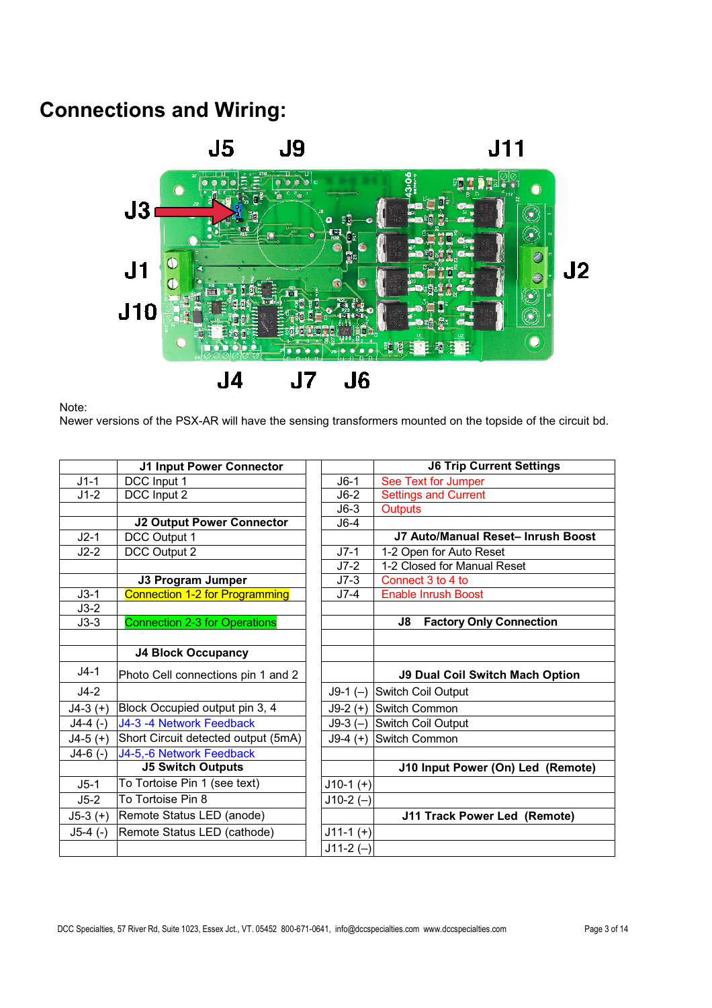## **Connections and Wiring:**



Note:

Newer versions of the PSX-AR will have the sensing transformers mounted on the topside of the circuit bd.

|            | <b>J1 Input Power Connector</b>       |             | <b>J6 Trip Current Settings</b>        |
|------------|---------------------------------------|-------------|----------------------------------------|
| $J1-1$     | DCC Input 1                           | $J6-1$      | See Text for Jumper                    |
| $J1-2$     | DCC Input 2                           | $J6-2$      | <b>Settings and Current</b>            |
|            |                                       | $J6-3$      | <b>Outputs</b>                         |
|            | <b>J2 Output Power Connector</b>      | $J6-4$      |                                        |
| $J2-1$     | DCC Output 1                          |             | J7 Auto/Manual Reset- Inrush Boost     |
| $J2-2$     | DCC Output 2                          | $J7-1$      | 1-2 Open for Auto Reset                |
|            |                                       | $J7-2$      | 1-2 Closed for Manual Reset            |
|            | <b>J3 Program Jumper</b>              | $J7-3$      | Connect 3 to 4 to                      |
| $J3-1$     | <b>Connection 1-2 for Programming</b> | $J7-4$      | <b>Enable Inrush Boost</b>             |
| $J3-2$     |                                       |             |                                        |
| $J3-3$     | <b>Connection 2-3 for Operations</b>  |             | J8<br><b>Factory Only Connection</b>   |
|            |                                       |             |                                        |
|            | <b>J4 Block Occupancy</b>             |             |                                        |
| $J4-1$     | Photo Cell connections pin 1 and 2    |             | <b>J9 Dual Coil Switch Mach Option</b> |
| $J4-2$     |                                       |             | J9-1 (-) Switch Coil Output            |
| $J4-3 (+)$ | Block Occupied output pin 3, 4        |             | J9-2 (+) Switch Common                 |
| $J4-4$ (-) | J4-3 -4 Network Feedback              |             | J9-3 (-) Switch Coil Output            |
| $J4-5 (+)$ | Short Circuit detected output (5mA)   |             | J9-4 (+) Switch Common                 |
| $J4-6$ (-) | J4-5,-6 Network Feedback              |             |                                        |
|            | <b>J5 Switch Outputs</b>              |             | J10 Input Power (On) Led (Remote)      |
| $J5-1$     | To Tortoise Pin 1 (see text)          | $J10-1 (+)$ |                                        |
| $J5-2$     | To Tortoise Pin 8                     | $J10-2 (-)$ |                                        |
| $J5-3 (+)$ | Remote Status LED (anode)             |             | J11 Track Power Led (Remote)           |
| $J5-4$ (-) | Remote Status LED (cathode)           | $J11-1 (+)$ |                                        |
|            |                                       | $J11-2(-)$  |                                        |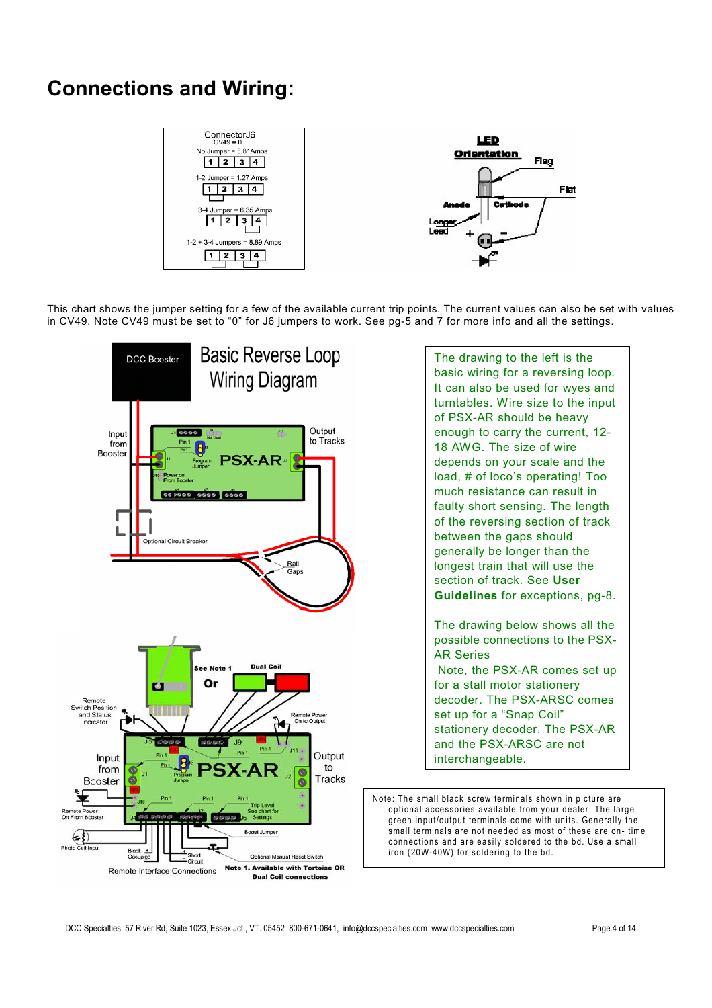## **Connections and Wiring:**



This chart shows the jumper setting for a few of the available current trip points. The current values can also be set with values in CV49. Note CV49 must be set to "0" for J6 jumpers to work. See pg-5 and 7 for more info and all the settings.

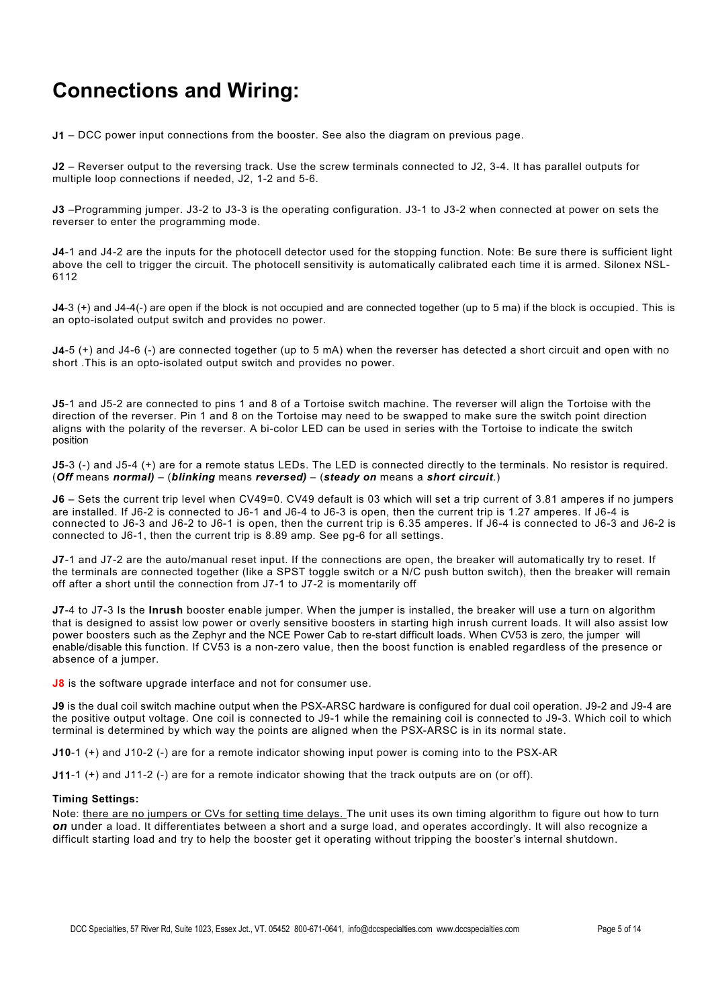## **Connections and Wiring:**

**J1** – DCC power input connections from the booster. See also the diagram on previous page.

**J2** – Reverser output to the reversing track. Use the screw terminals connected to J2, 3-4. It has parallel outputs for multiple loop connections if needed, J2, 1-2 and 5-6.

**J3** –Programming jumper. J3-2 to J3-3 is the operating configuration. J3-1 to J3-2 when connected at power on sets the reverser to enter the programming mode.

**J4**-1 and J4-2 are the inputs for the photocell detector used for the stopping function. Note: Be sure there is sufficient light above the cell to trigger the circuit. The photocell sensitivity is automatically calibrated each time it is armed. Silonex NSL-6112

**J4**-3 (+) and J4-4(-) are open if the block is not occupied and are connected together (up to 5 ma) if the block is occupied. This is an opto-isolated output switch and provides no power.

**J4**-5 (+) and J4-6 (-) are connected together (up to 5 mA) when the reverser has detected a short circuit and open with no short .This is an opto-isolated output switch and provides no power.

**J5**-1 and J5-2 are connected to pins 1 and 8 of a Tortoise switch machine. The reverser will align the Tortoise with the direction of the reverser. Pin 1 and 8 on the Tortoise may need to be swapped to make sure the switch point direction aligns with the polarity of the reverser. A bi-color LED can be used in series with the Tortoise to indicate the switch position

**J5**-3 (-) and J5-4 (+) are for a remote status LEDs. The LED is connected directly to the terminals. No resistor is required. (*Off* means *normal)* – (*blinking* means *reversed)* – (*steady on* means a *short circuit*.)

**J6** – Sets the current trip level when CV49=0. CV49 default is 03 which will set a trip current of 3.81 amperes if no jumpers are installed. If J6-2 is connected to J6-1 and J6-4 to J6-3 is open, then the current trip is 1.27 amperes. If J6-4 is connected to J6-3 and J6-2 to J6-1 is open, then the current trip is 6.35 amperes. If J6-4 is connected to J6-3 and J6-2 is connected to J6-1, then the current trip is 8.89 amp. See pg-6 for all settings.

**J7**-1 and J7-2 are the auto/manual reset input. If the connections are open, the breaker will automatically try to reset. If the terminals are connected together (like a SPST toggle switch or a N/C push button switch), then the breaker will remain off after a short until the connection from J7-1 to J7-2 is momentarily off

**J7**-4 to J7-3 Is the **Inrush** booster enable jumper. When the jumper is installed, the breaker will use a turn on algorithm that is designed to assist low power or overly sensitive boosters in starting high inrush current loads. It will also assist low power boosters such as the Zephyr and the NCE Power Cab to re-start difficult loads. When CV53 is zero, the jumper will enable/disable this function. If CV53 is a non-zero value, then the boost function is enabled regardless of the presence or absence of a jumper.

**J8** is the software upgrade interface and not for consumer use.

**J9** is the dual coil switch machine output when the PSX-ARSC hardware is configured for dual coil operation. J9-2 and J9-4 are the positive output voltage. One coil is connected to J9-1 while the remaining coil is connected to J9-3. Which coil to which terminal is determined by which way the points are aligned when the PSX-ARSC is in its normal state.

**J10**-1 (+) and J10-2 (-) are for a remote indicator showing input power is coming into to the PSX-AR

**J11**-1 (+) and J11-2 (-) are for a remote indicator showing that the track outputs are on (or off).

#### **Timing Settings:**

Note: there are no jumpers or CVs for setting time delays. The unit uses its own timing algorithm to figure out how to turn *on* under a load. It differentiates between a short and a surge load, and operates accordingly. It will also recognize a difficult starting load and try to help the booster get it operating without tripping the booster's internal shutdown.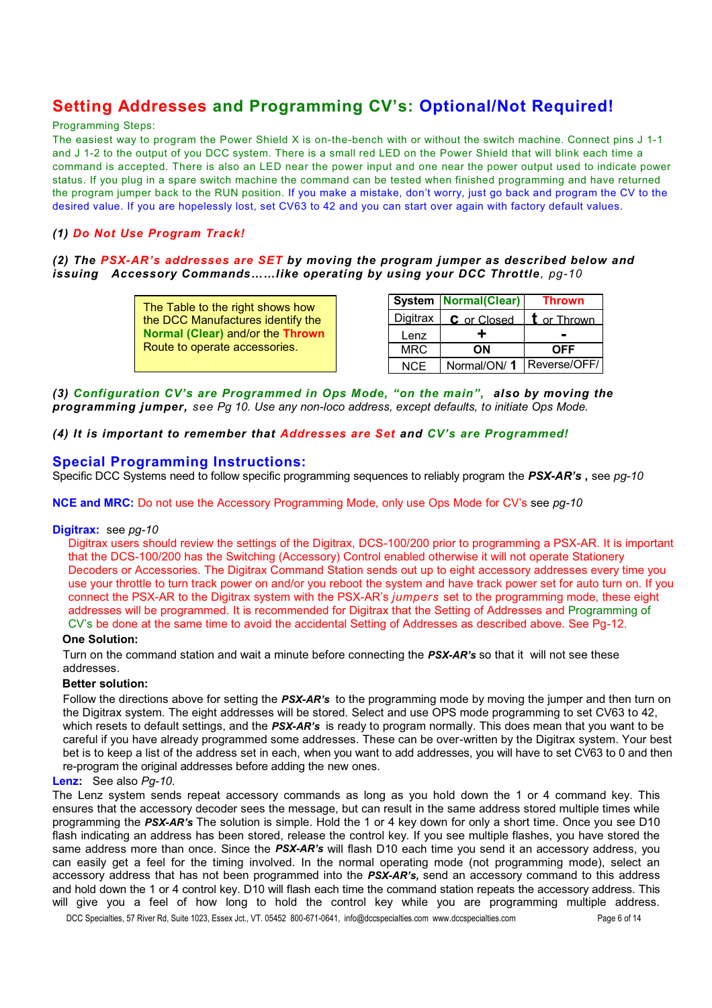## **Setting Addresses and Programming CV's: Optional/Not Required!**

#### Programming Steps:

The easiest way to program the Power Shield X is on-the-bench with or without the switch machine. Connect pins J 1-1 and J 1-2 to the output of you DCC system. There is a small red LED on the Power Shield that will blink each time a command is accepted. There is also an LED near the power input and one near the power output used to indicate power status. If you plug in a spare switch machine the command can be tested when finished programming and have returned the program jumper back to the RUN position. If you make a mistake, don't worry, just go back and program the CV to the desired value. If you are hopelessly lost, set CV63 to 42 and you can start over again with factory default values.

### *(1) Do Not Use Program Track!*

### *(2) The PSX-AR's addresses are SET by moving the program jumper as described below and issuing Accessory Commands……like operating by using your DCC Throttle, pg-10*

The Table to the right shows how the DCC Manufactures identify the **Normal (Clear)** and/or the **Thrown** Route to operate accessories.

|            | <b>System   Normal(Clear)</b> | <b>Thrown</b> |
|------------|-------------------------------|---------------|
| Digitrax   | C or Closed                   | t or Thrown   |
| Lenz       | ┹                             |               |
| <b>MRC</b> | OΝ                            | <b>OFF</b>    |
| NCE.       | Normal/ON/1                   | Reverse/OFF/  |

*(3) Configuration CV's are Programmed in Ops Mode, "on the main", also by moving the programming jumper, see Pg 10. Use any non-loco address, except defaults, to initiate Ops Mode.*

#### *(4) It is important to remember that Addresses are Set and CV's are Programmed!*

### **Special Programming Instructions:**

Specific DCC Systems need to follow specific programming sequences to reliably program the *PSX-AR's* **,** see *pg-10*

**NCE and MRC:** Do not use the Accessory Programming Mode, only use Ops Mode for CV's see *pg-10*

#### **Digitrax:** see *pg-10*

Digitrax users should review the settings of the Digitrax, DCS-100/200 prior to programming a PSX-AR. It is important that the DCS-100/200 has the Switching (Accessory) Control enabled otherwise it will not operate Stationery Decoders or Accessories. The Digitrax Command Station sends out up to eight accessory addresses every time you use your throttle to turn track power on and/or you reboot the system and have track power set for auto turn on. If you connect the PSX-AR to the Digitrax system with the PSX-AR's *jumpers* set to the programming mode, these eight addresses will be programmed. It is recommended for Digitrax that the Setting of Addresses and Programming of CV's be done at the same time to avoid the accidental Setting of Addresses as described above. See Pg-12.

#### **One Solution:**

Turn on the command station and wait a minute before connecting the *PSX-AR's* so that it will not see these addresses.

#### **Better solution:**

Follow the directions above for setting the *PSX-AR's* to the programming mode by moving the jumper and then turn on the Digitrax system. The eight addresses will be stored. Select and use OPS mode programming to set CV63 to 42, which resets to default settings, and the *PSX-AR's* is ready to program normally. This does mean that you want to be careful if you have already programmed some addresses. These can be over-written by the Digitrax system. Your best bet is to keep a list of the address set in each, when you want to add addresses, you will have to set CV63 to 0 and then re-program the original addresses before adding the new ones.

#### **Lenz:** See also *Pg-10.*

The Lenz system sends repeat accessory commands as long as you hold down the 1 or 4 command key. This ensures that the accessory decoder sees the message, but can result in the same address stored multiple times while programming the *PSX-AR's* The solution is simple. Hold the 1 or 4 key down for only a short time. Once you see D10 flash indicating an address has been stored, release the control key. If you see multiple flashes, you have stored the same address more than once. Since the *PSX-AR's* will flash D10 each time you send it an accessory address, you can easily get a feel for the timing involved. In the normal operating mode (not programming mode), select an accessory address that has not been programmed into the *PSX-AR's,* send an accessory command to this address and hold down the 1 or 4 control key. D10 will flash each time the command station repeats the accessory address. This will give you a feel of how long to hold the control key while you are programming multiple address.

DCC Specialties, 57 River Rd, Suite 1023, Essex Jct., VT. 05452 800-671-0641, info@dccspecialties.com www.dccspecialties.com Page 6 of 14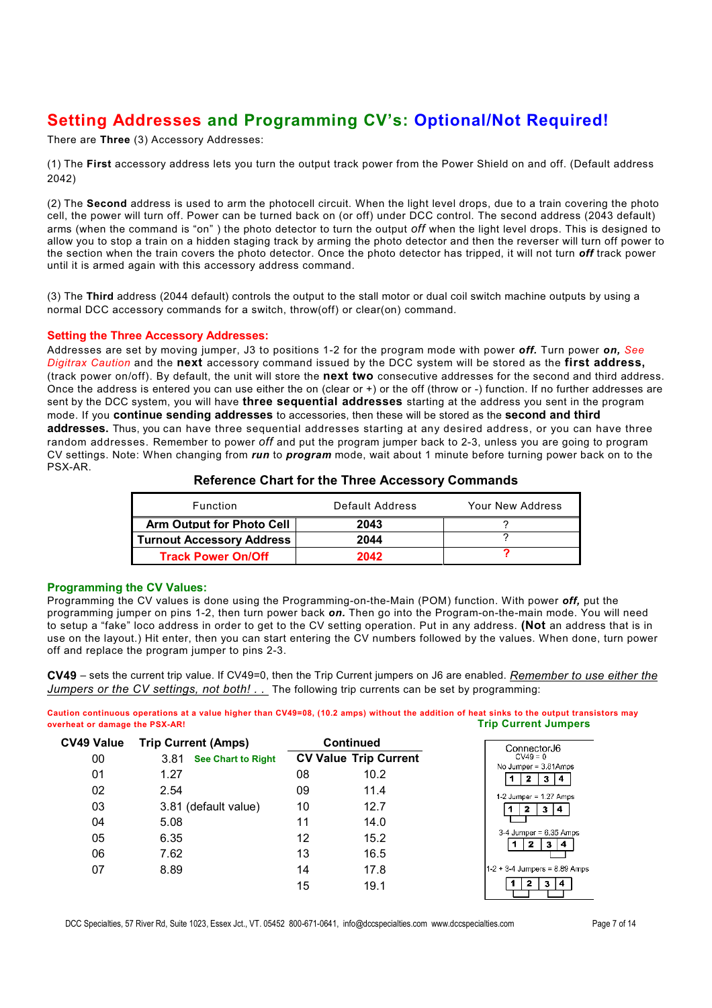## **Setting Addresses and Programming CV's: Optional/Not Required!**

There are **Three** (3) Accessory Addresses:

(1) The **First** accessory address lets you turn the output track power from the Power Shield on and off. (Default address 2042)

(2) The **Second** address is used to arm the photocell circuit. When the light level drops, due to a train covering the photo cell, the power will turn off. Power can be turned back on (or off) under DCC control. The second address (2043 default) arms (when the command is "on" ) the photo detector to turn the output *off* when the light level drops. This is designed to allow you to stop a train on a hidden staging track by arming the photo detector and then the reverser will turn off power to the section when the train covers the photo detector. Once the photo detector has tripped, it will not turn *off* track power until it is armed again with this accessory address command.

(3) The **Third** address (2044 default) controls the output to the stall motor or dual coil switch machine outputs by using a normal DCC accessory commands for a switch, throw(off) or clear(on) command.

#### **Setting the Three Accessory Addresses:**

Addresses are set by moving jumper, J3 to positions 1-2 for the program mode with power *off.* Turn power *on, See Digitrax Caution* and the **next** accessory command issued by the DCC system will be stored as the **first address,** (track power on/off). By default, the unit will store the **next two** consecutive addresses for the second and third address. Once the address is entered you can use either the on (clear or +) or the off (throw or -) function. If no further addresses are sent by the DCC system, you will have **three sequential addresses** starting at the address you sent in the program mode. If you **continue sending addresses** to accessories, then these will be stored as the **second and third addresses.** Thus, you can have three sequential addresses starting at any desired address, or you can have three random addresses. Remember to power *off* and put the program jumper back to 2-3, unless you are going to program CV settings. Note: When changing from *run* to *program* mode, wait about 1 minute before turning power back on to the PSX-AR.

| Function                         | Default Address | Your New Address |
|----------------------------------|-----------------|------------------|
| <b>Arm Output for Photo Cell</b> | 2043            |                  |
| <b>Turnout Accessory Address</b> | 2044            |                  |
| <b>Track Power On/Off</b>        | 2042            |                  |

#### **Reference Chart for the Three Accessory Commands**

#### **Programming the CV Values:**

Programming the CV values is done using the Programming-on-the-Main (POM) function. With power *off,* put the programming jumper on pins 1-2, then turn power back *on.* Then go into the Program-on-the-main mode. You will need to setup a "fake" loco address in order to get to the CV setting operation. Put in any address. **(Not** an address that is in use on the layout.) Hit enter, then you can start entering the CV numbers followed by the values. When done, turn power off and replace the program jumper to pins 2-3.

**CV49** – sets the current trip value. If CV49=0, then the Trip Current jumpers on J6 are enabled. *Remember to use either the Jumpers or the CV settings, not both! . .* The following trip currents can be set by programming:

**Caution continuous operations at a value higher than CV49=08, (10.2 amps) without the addition of heat sinks to the output transistors may overheat or damage the PSX-AR! Trip Current Jumpers**

| CV49 Value | <b>Trip Current (Amps)</b>        | <b>Continued</b> |                              | ConnectorJ6                     |
|------------|-----------------------------------|------------------|------------------------------|---------------------------------|
| 00         | 3.81<br><b>See Chart to Right</b> |                  | <b>CV Value Trip Current</b> | $CV49 = 0$                      |
| 01         | 1.27                              | 08               | 10.2                         | No Jumper = 3.81Amps<br>з       |
| 02         | 2.54                              | 09               | 11.4                         | $1-2$ Jumper = $1.27$ Amps      |
| 03         | 3.81 (default value)              | 10               | 12.7                         | з.<br>4                         |
| 04         | 5.08                              | 11               | 14.0                         |                                 |
| 05         | 6.35                              | 12               | 15.2                         | $3-4$ Jumper = $6.35$ Amps<br>3 |
| 06         | 7.62                              | 13               | 16.5                         |                                 |
| 07         | 8.89                              | 14               | 17.8                         | $1-2 + 3-4$ Jumpers = 8.89 Amps |
|            |                                   | 15               | 19.1                         | $\mathbf{3}$<br>14              |

DCC Specialties, 57 River Rd, Suite 1023, Essex Jct., VT. 05452 800-671-0641, info@dccspecialties.com www.dccspecialties.com Page 7 of 14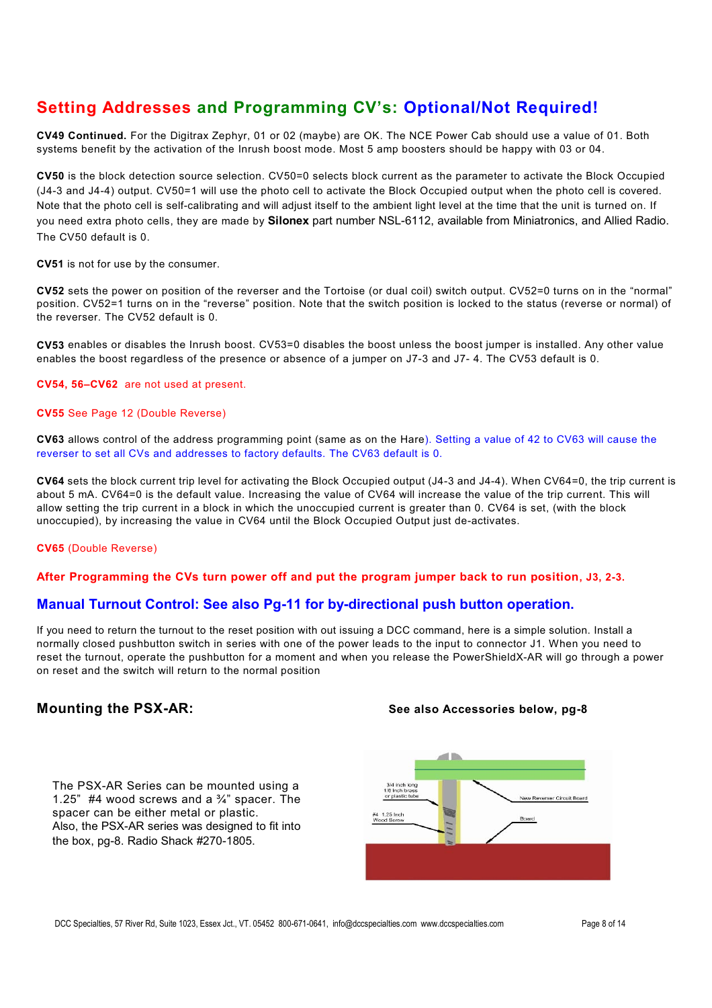## **Setting Addresses and Programming CV's: Optional/Not Required!**

**CV49 Continued.** For the Digitrax Zephyr, 01 or 02 (maybe) are OK. The NCE Power Cab should use a value of 01. Both systems benefit by the activation of the Inrush boost mode. Most 5 amp boosters should be happy with 03 or 04.

**CV50** is the block detection source selection. CV50=0 selects block current as the parameter to activate the Block Occupied (J4-3 and J4-4) output. CV50=1 will use the photo cell to activate the Block Occupied output when the photo cell is covered. Note that the photo cell is self-calibrating and will adjust itself to the ambient light level at the time that the unit is turned on. If you need extra photo cells, they are made by **Silonex** part number NSL-6112, available from Miniatronics, and Allied Radio. The CV50 default is 0.

**CV51** is not for use by the consumer.

**CV52** sets the power on position of the reverser and the Tortoise (or dual coil) switch output. CV52=0 turns on in the "normal" position. CV52=1 turns on in the "reverse" position. Note that the switch position is locked to the status (reverse or normal) of the reverser. The CV52 default is 0.

**CV53** enables or disables the Inrush boost. CV53=0 disables the boost unless the boost jumper is installed. Any other value enables the boost regardless of the presence or absence of a jumper on J7-3 and J7- 4. The CV53 default is 0.

#### **CV54, 56–CV62** are not used at present.

#### **CV55** See Page 12 (Double Reverse)

**CV63** allows control of the address programming point (same as on the Hare). Setting a value of 42 to CV63 will cause the reverser to set all CVs and addresses to factory defaults. The CV63 default is 0.

**CV64** sets the block current trip level for activating the Block Occupied output (J4-3 and J4-4). When CV64=0, the trip current is about 5 mA. CV64=0 is the default value. Increasing the value of CV64 will increase the value of the trip current. This will allow setting the trip current in a block in which the unoccupied current is greater than 0. CV64 is set, (with the block unoccupied), by increasing the value in CV64 until the Block Occupied Output just de-activates.

#### **CV65** (Double Reverse)

#### **After Programming the CVs turn power off and put the program jumper back to run position, J3, 2-3.**

### **Manual Turnout Control: See also Pg-11 for by-directional push button operation.**

If you need to return the turnout to the reset position with out issuing a DCC command, here is a simple solution. Install a normally closed pushbutton switch in series with one of the power leads to the input to connector J1. When you need to reset the turnout, operate the pushbutton for a moment and when you release the PowerShieldX-AR will go through a power on reset and the switch will return to the normal position

The PSX-AR Series can be mounted using a 1.25" #4 wood screws and a  $\frac{3}{4}$ " spacer. The spacer can be either metal or plastic. Also, the PSX-AR series was designed to fit into the box, pg-8. Radio Shack #270-1805.

#### **Mounting the PSX-AR: See also Accessories below, pg-8**

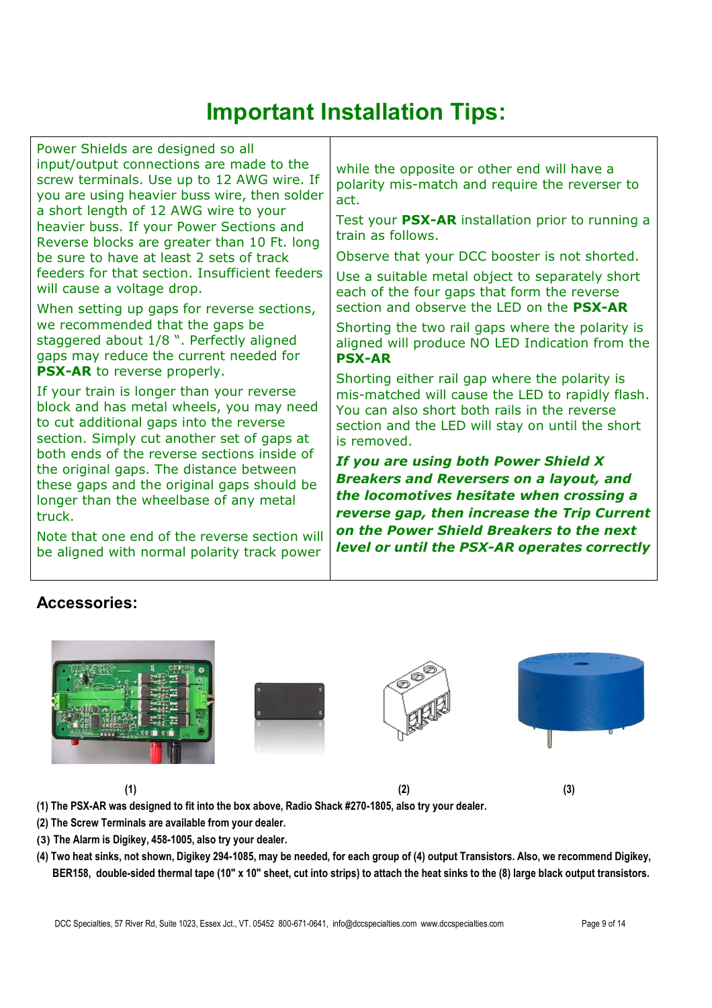# **Important Installation Tips:**

Power Shields are designed so all input/output connections are made to the screw terminals. Use up to 12 AWG wire. If you are using heavier buss wire, then solder a short length of 12 AWG wire to your heavier buss. If your Power Sections and Reverse blocks are greater than 10 Ft. long be sure to have at least 2 sets of track feeders for that section. Insufficient feeders will cause a voltage drop.

When setting up gaps for reverse sections, we recommended that the gaps be staggered about 1/8 ". Perfectly aligned gaps may reduce the current needed for **PSX-AR** to reverse properly.

If your train is longer than your reverse block and has metal wheels, you may need to cut additional gaps into the reverse section. Simply cut another set of gaps at both ends of the reverse sections inside of the original gaps. The distance between these gaps and the original gaps should be longer than the wheelbase of any metal truck.

Note that one end of the reverse section will be aligned with normal polarity track power

while the opposite or other end will have a polarity mis-match and require the reverser to act.

Test your **PSX-AR** installation prior to running a train as follows.

Observe that your DCC booster is not shorted.

Use a suitable metal object to separately short each of the four gaps that form the reverse section and observe the LED on the **PSX-AR**

Shorting the two rail gaps where the polarity is aligned will produce NO LED Indication from the **PSX-AR**

Shorting either rail gap where the polarity is mis-matched will cause the LED to rapidly flash. You can also short both rails in the reverse section and the LED will stay on until the short is removed.

*If you are using both Power Shield X Breakers and Reversers on a layout, and the locomotives hesitate when crossing a reverse gap, then increase the Trip Current on the Power Shield Breakers to the next level or until the PSX-AR operates correctly*

### **Accessories:**



**(1) The PSX-AR was designed to fit into the box above, Radio Shack #270-1805, also try your dealer.**

**(2) The Screw Terminals are available from your dealer.**

- **(3) The Alarm is Digikey, 458-1005, also try your dealer.**
- **(4) Two heat sinks, not shown, Digikey 294-1085, may be needed, for each group of (4) output Transistors. Also, we recommend Digikey, BER158, double-sided thermal tape (10" x 10" sheet, cut into strips) to attach the heat sinks to the (8) large black output transistors.**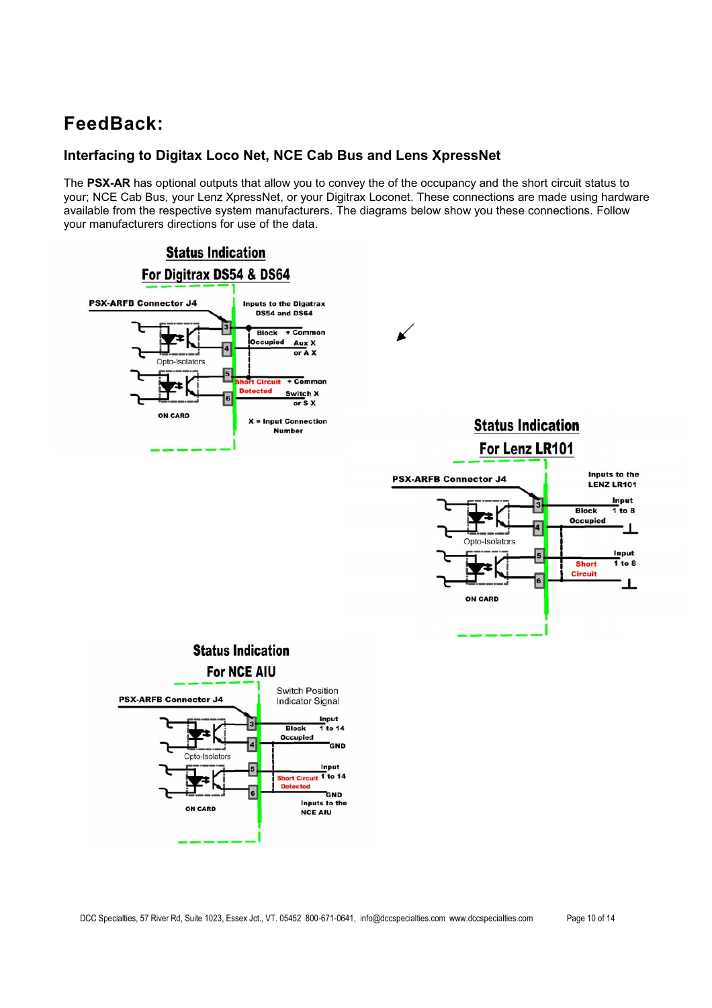## **FeedBack:**

### **Interfacing to Digitax Loco Net, NCE Cab Bus and Lens XpressNet**

The **PSX-AR** has optional outputs that allow you to convey the of the occupancy and the short circuit status to your; NCE Cab Bus, your Lenz XpressNet, or your Digitrax Loconet. These connections are made using hardware available from the respective system manufacturers. The diagrams below show you these connections. Follow your manufacturers directions for use of the data.

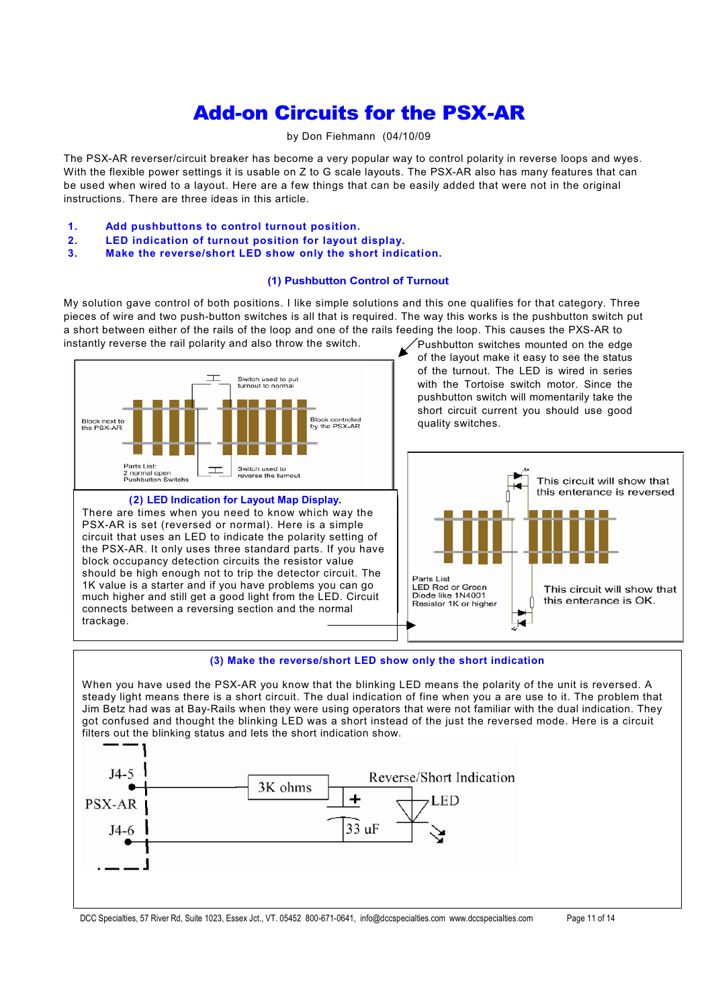## Add-on Circuits for the PSX-AR

#### by Don Fiehmann (04/10/09

The PSX-AR reverser/circuit breaker has become a very popular way to control polarity in reverse loops and wyes. With the flexible power settings it is usable on Z to G scale layouts. The PSX-AR also has many features that can be used when wired to a layout. Here are a few things that can be easily added that were not in the original instructions. There are three ideas in this article.

- **1. Add pushbuttons to control turnout position.**
- **2. LED indication of turnout position for layout display.**
- **3. Make the reverse/short LED show only the short indication.**

#### **(1) Pushbutton Control of Turnout**

My solution gave control of both positions. I like simple solutions and this one qualifies for that category. Three pieces of wire and two push-button switches is all that is required. The way this works is the pushbutton switch put a short between either of the rails of the loop and one of the rails feeding the loop. This causes the PXS-AR to<br>instantly reverse the rail polarity and also throw the switch.<br>
Yushbutton switches mounted on the edge instantly reverse the rail polarity and also throw the switch.



**(2) LED Indication for Layout Map Display.** There are times when you need to know which way the PSX-AR is set (reversed or normal). Here is a simple circuit that uses an LED to indicate the polarity setting of the PSX-AR. It only uses three standard parts. If you have block occupancy detection circuits the resistor value should be high enough not to trip the detector circuit. The 1K value is a starter and if you have problems you can go much higher and still get a good light from the LED. Circuit connects between a reversing section and the normal trackage.

of the layout make it easy to see the status of the turnout. The LED is wired in series with the Tortoise switch motor. Since the pushbutton switch will momentarily take the short circuit current you should use good quality switches.



#### **(3) Make the reverse/short LED show only the short indication**

When you have used the PSX-AR you know that the blinking LED means the polarity of the unit is reversed. A steady light means there is a short circuit. The dual indication of fine when you a are use to it. The problem that Jim Betz had was at Bay-Rails when they were using operators that were not familiar with the dual indication. They got confused and thought the blinking LED was a short instead of the just the reversed mode. Here is a circuit filters out the blinking status and lets the short indication show.



DCC Specialties, 57 River Rd, Suite 1023, Essex Jct., VT. 05452 800-671-0641, info@dccspecialties.com www.dccspecialties.com Page 11 of 14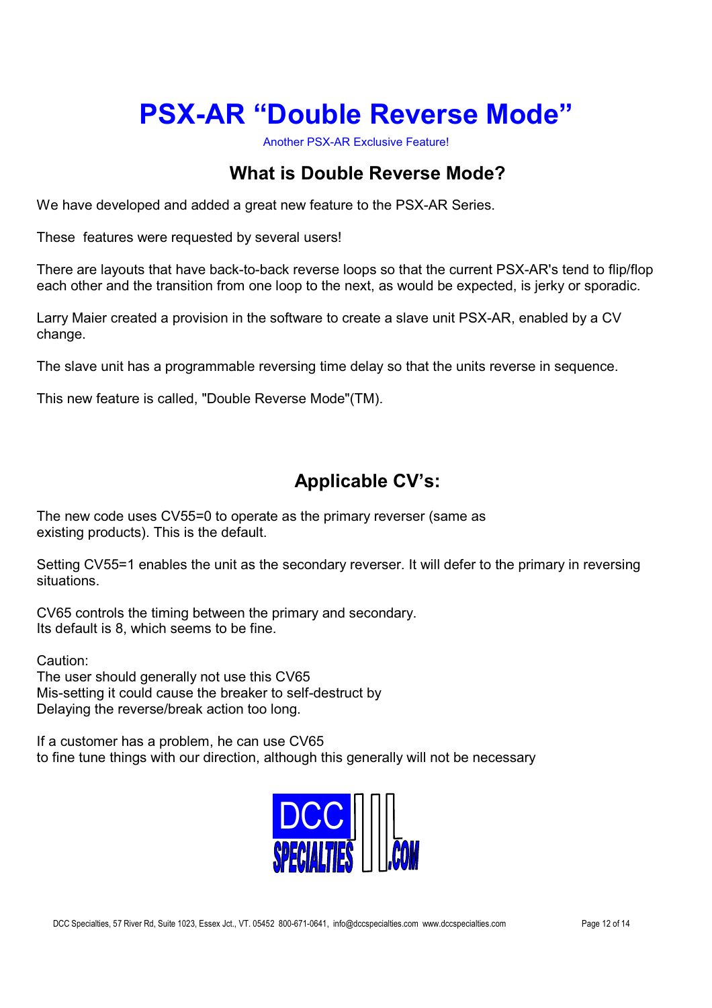# **PSX-AR "Double Reverse Mode"**

Another PSX-AR Exclusive Feature!

## **What is Double Reverse Mode?**

We have developed and added a great new feature to the PSX-AR Series.

These features were requested by several users!

There are layouts that have back-to-back reverse loops so that the current PSX-AR's tend to flip/flop each other and the transition from one loop to the next, as would be expected, is jerky or sporadic.

Larry Maier created a provision in the software to create a slave unit PSX-AR, enabled by a CV change.

The slave unit has a programmable reversing time delay so that the units reverse in sequence.

This new feature is called, "Double Reverse Mode"(TM).

## **Applicable CV's:**

The new code uses CV55=0 to operate as the primary reverser (same as existing products). This is the default.

Setting CV55=1 enables the unit as the secondary reverser. It will defer to the primary in reversing situations.

CV65 controls the timing between the primary and secondary. Its default is 8, which seems to be fine.

Caution:

The user should generally not use this CV65 Mis-setting it could cause the breaker to self-destruct by Delaying the reverse/break action too long.

If a customer has a problem, he can use CV65 to fine tune things with our direction, although this generally will not be necessary

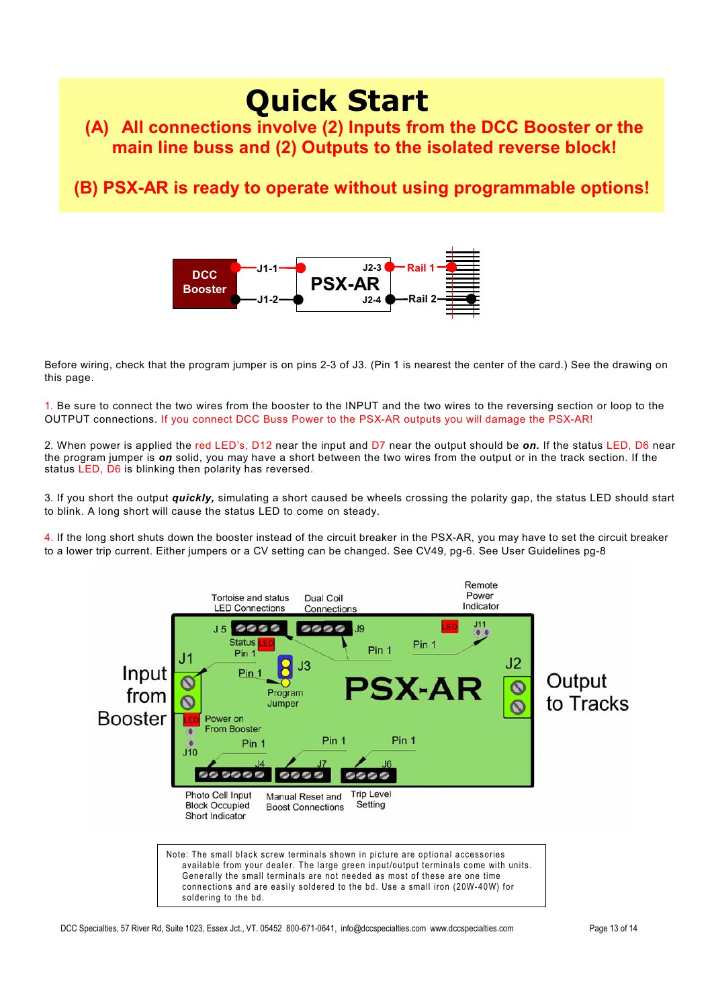## **Quick Start (A) All connections involve (2) Inputs from the DCC Booster or the main line buss and (2) Outputs to the isolated reverse block!**

## **(B) PSX-AR is ready to operate without using programmable options!**



Before wiring, check that the program jumper is on pins 2-3 of J3. (Pin 1 is nearest the center of the card.) See the drawing on this page.

1. Be sure to connect the two wires from the booster to the INPUT and the two wires to the reversing section or loop to the OUTPUT connections. If you connect DCC Buss Power to the PSX-AR outputs you will damage the PSX-AR!

2. When power is applied the red LED's, D12 near the input and D7 near the output should be *on.* If the status LED, D6 near the program jumper is *on* solid, you may have a short between the two wires from the output or in the track section. If the status LED, D6 is blinking then polarity has reversed.

3. If you short the output *quickly,* simulating a short caused be wheels crossing the polarity gap, the status LED should start to blink. A long short will cause the status LED to come on steady.

4. If the long short shuts down the booster instead of the circuit breaker in the PSX-AR, you may have to set the circuit breaker to a lower trip current. Either jumpers or a CV setting can be changed. See CV49, pg-6. See User Guidelines pg-8